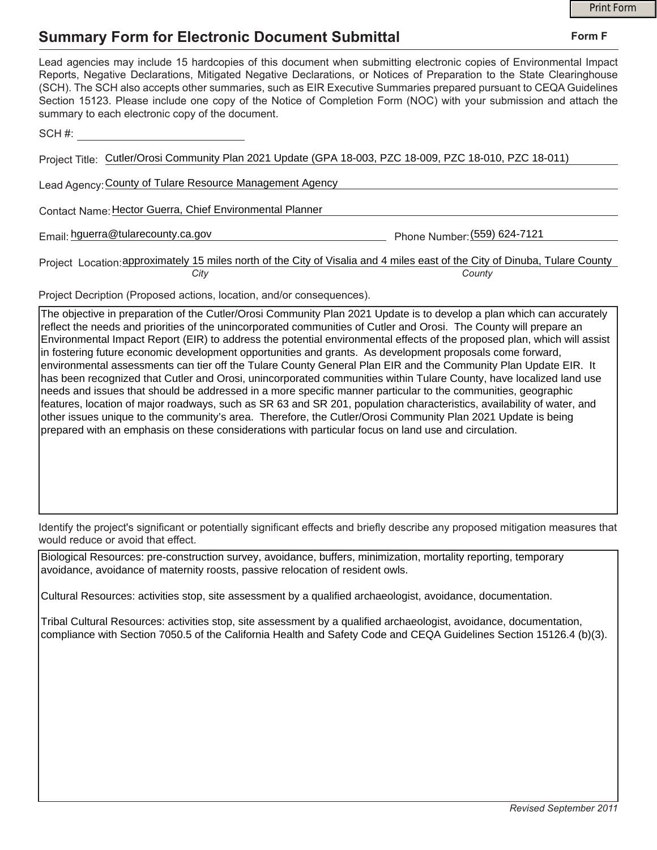## **Summary Form for Electronic Document Submittal**

|                                                                                                                                                                                                                                                                                                                                                                                                                                                                                                                                           | <b>Print Form</b> |
|-------------------------------------------------------------------------------------------------------------------------------------------------------------------------------------------------------------------------------------------------------------------------------------------------------------------------------------------------------------------------------------------------------------------------------------------------------------------------------------------------------------------------------------------|-------------------|
| <b>Summary Form for Electronic Document Submittal</b>                                                                                                                                                                                                                                                                                                                                                                                                                                                                                     | Form F            |
| Lead agencies may include 15 hardcopies of this document when submitting electronic copies of Environmental Impact<br>Reports, Negative Declarations, Mitigated Negative Declarations, or Notices of Preparation to the State Clearinghouse<br>(SCH). The SCH also accepts other summaries, such as EIR Executive Summaries prepared pursuant to CEQA Guidelines<br>Section 15123. Please include one copy of the Notice of Completion Form (NOC) with your submission and attach the<br>summary to each electronic copy of the document. |                   |
| SCH#:                                                                                                                                                                                                                                                                                                                                                                                                                                                                                                                                     |                   |
| Project Title: Cutler/Orosi Community Plan 2021 Update (GPA 18-003, PZC 18-009, PZC 18-010, PZC 18-011)                                                                                                                                                                                                                                                                                                                                                                                                                                   |                   |
| Lead Agency: County of Tulare Resource Management Agency                                                                                                                                                                                                                                                                                                                                                                                                                                                                                  |                   |
| Contact Name: Hector Guerra, Chief Environmental Planner                                                                                                                                                                                                                                                                                                                                                                                                                                                                                  |                   |
| Email: hguerra@tularecounty.ca.gov<br>Phone Number: (559) 624-7121                                                                                                                                                                                                                                                                                                                                                                                                                                                                        |                   |
| Project Location: approximately 15 miles north of the City of Visalia and 4 miles east of the City of Dinuba, Tulare County<br>City<br>County                                                                                                                                                                                                                                                                                                                                                                                             |                   |

Project Decription (Proposed actions, location, and/or consequences).

The objective in preparation of the Cutler/Orosi Community Plan 2021 Update is to develop a plan which can accurately reflect the needs and priorities of the unincorporated communities of Cutler and Orosi. The County will prepare an Environmental Impact Report (EIR) to address the potential environmental effects of the proposed plan, which will assist in fostering future economic development opportunities and grants. As development proposals come forward, environmental assessments can tier off the Tulare County General Plan EIR and the Community Plan Update EIR. It has been recognized that Cutler and Orosi, unincorporated communities within Tulare County, have localized land use needs and issues that should be addressed in a more specific manner particular to the communities, geographic features, location of major roadways, such as SR 63 and SR 201, population characteristics, availability of water, and other issues unique to the community's area. Therefore, the Cutler/Orosi Community Plan 2021 Update is being prepared with an emphasis on these considerations with particular focus on land use and circulation.

Identify the project's significant or potentially significant effects and briefly describe any proposed mitigation measures that would reduce or avoid that effect.

Biological Resources: pre-construction survey, avoidance, buffers, minimization, mortality reporting, temporary avoidance, avoidance of maternity roosts, passive relocation of resident owls.

Cultural Resources: activities stop, site assessment by a qualified archaeologist, avoidance, documentation.

Tribal Cultural Resources: activities stop, site assessment by a qualified archaeologist, avoidance, documentation, compliance with Section 7050.5 of the California Health and Safety Code and CEQA Guidelines Section 15126.4 (b)(3).